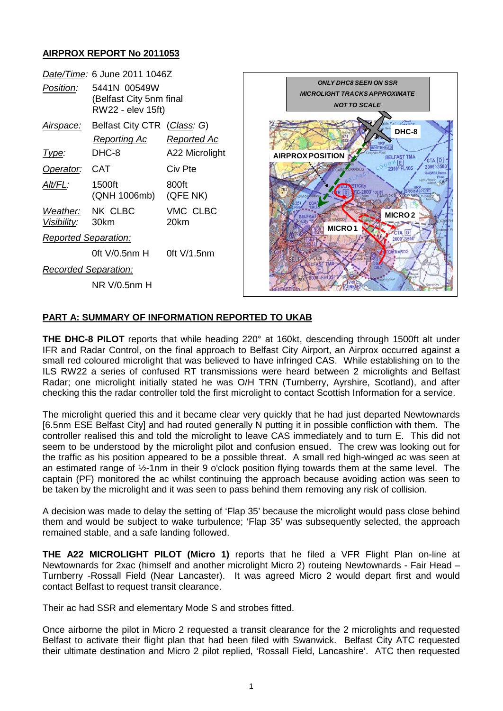# **AIRPROX REPORT No 2011053**

|                                      | Date/Time: 6 June 2011 1046Z                                 |                   |
|--------------------------------------|--------------------------------------------------------------|-------------------|
| Position:                            | 5441N 00549W<br>(Belfast City 5nm final<br>RW22 - elev 15ft) |                   |
| Airspace:                            | Belfast City CTR (Class: G)                                  |                   |
|                                      | Reporting Ac                                                 | Reported Ac       |
| lype:                                | DHC-8                                                        | A22 Microlight    |
| Operator:                            | CAT                                                          | Civ Pte           |
| Alt/FL:                              | 1500ft<br>(QNH 1006mb)                                       | 800ft<br>(QFE NK) |
| Weather: NK CLBC<br>Visibility: 30km |                                                              | VMC CLBC<br>20km  |
| <b>Reported Separation:</b>          |                                                              |                   |
|                                      | 0ft V/0.5nm H                                                | $0$ ft V/1.5 $nm$ |
| Recorded Separation:                 |                                                              |                   |
|                                      | NR V/0.5nm H                                                 |                   |



### **PART A: SUMMARY OF INFORMATION REPORTED TO UKAB**

**THE DHC-8 PILOT** reports that while heading 220° at 160kt, descending through 1500ft alt under IFR and Radar Control, on the final approach to Belfast City Airport, an Airprox occurred against a small red coloured microlight that was believed to have infringed CAS. While establishing on to the ILS RW22 a series of confused RT transmissions were heard between 2 microlights and Belfast Radar; one microlight initially stated he was O/H TRN (Turnberry, Ayrshire, Scotland), and after checking this the radar controller told the first microlight to contact Scottish Information for a service.

The microlight queried this and it became clear very quickly that he had just departed Newtownards [6.5nm ESE Belfast City] and had routed generally N putting it in possible confliction with them. The controller realised this and told the microlight to leave CAS immediately and to turn E. This did not seem to be understood by the microlight pilot and confusion ensued. The crew was looking out for the traffic as his position appeared to be a possible threat. A small red high-winged ac was seen at an estimated range of ½-1nm in their 9 o'clock position flying towards them at the same level. The captain (PF) monitored the ac whilst continuing the approach because avoiding action was seen to be taken by the microlight and it was seen to pass behind them removing any risk of collision.

A decision was made to delay the setting of 'Flap 35' because the microlight would pass close behind them and would be subject to wake turbulence; 'Flap 35' was subsequently selected, the approach remained stable, and a safe landing followed.

**THE A22 MICROLIGHT PILOT (Micro 1)** reports that he filed a VFR Flight Plan on-line at Newtownards for 2xac (himself and another microlight Micro 2) routeing Newtownards - Fair Head – Turnberry -Rossall Field (Near Lancaster). It was agreed Micro 2 would depart first and would contact Belfast to request transit clearance.

Their ac had SSR and elementary Mode S and strobes fitted.

Once airborne the pilot in Micro 2 requested a transit clearance for the 2 microlights and requested Belfast to activate their flight plan that had been filed with Swanwick. Belfast City ATC requested their ultimate destination and Micro 2 pilot replied, 'Rossall Field, Lancashire'. ATC then requested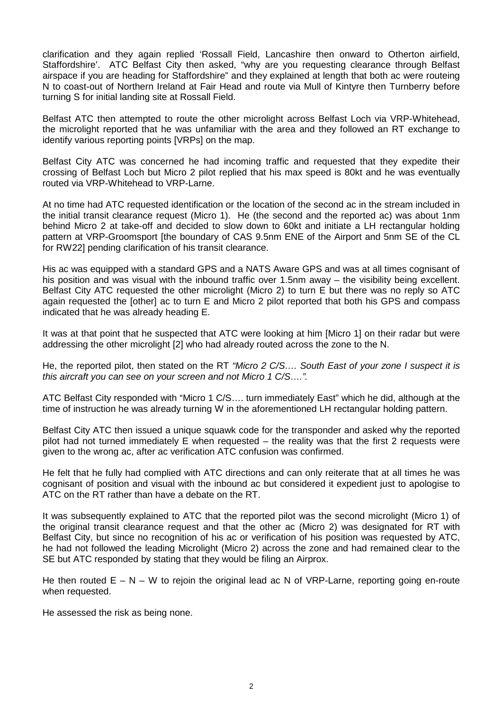clarification and they again replied 'Rossall Field, Lancashire then onward to Otherton airfield, Staffordshire'. ATC Belfast City then asked, "why are you requesting clearance through Belfast airspace if you are heading for Staffordshire" and they explained at length that both ac were routeing N to coast-out of Northern Ireland at Fair Head and route via Mull of Kintyre then Turnberry before turning S for initial landing site at Rossall Field.

Belfast ATC then attempted to route the other microlight across Belfast Loch via VRP-Whitehead, the microlight reported that he was unfamiliar with the area and they followed an RT exchange to identify various reporting points [VRPs] on the map.

Belfast City ATC was concerned he had incoming traffic and requested that they expedite their crossing of Belfast Loch but Micro 2 pilot replied that his max speed is 80kt and he was eventually routed via VRP-Whitehead to VRP-Larne.

At no time had ATC requested identification or the location of the second ac in the stream included in the initial transit clearance request (Micro 1). He (the second and the reported ac) was about 1nm behind Micro 2 at take-off and decided to slow down to 60kt and initiate a LH rectangular holding pattern at VRP-Groomsport [the boundary of CAS 9.5nm ENE of the Airport and 5nm SE of the CL for RW22] pending clarification of his transit clearance.

His ac was equipped with a standard GPS and a NATS Aware GPS and was at all times cognisant of his position and was visual with the inbound traffic over 1.5nm away – the visibility being excellent. Belfast City ATC requested the other microlight (Micro 2) to turn E but there was no reply so ATC again requested the [other] ac to turn E and Micro 2 pilot reported that both his GPS and compass indicated that he was already heading E.

It was at that point that he suspected that ATC were looking at him [Micro 1] on their radar but were addressing the other microlight [2] who had already routed across the zone to the N.

He, the reported pilot, then stated on the RT *"Micro 2 C/S…. South East of your zone I suspect it is this aircraft you can see on your screen and not Micro 1 C/S….".*

ATC Belfast City responded with "Micro 1 C/S…. turn immediately East" which he did, although at the time of instruction he was already turning W in the aforementioned LH rectangular holding pattern.

Belfast City ATC then issued a unique squawk code for the transponder and asked why the reported pilot had not turned immediately E when requested – the reality was that the first 2 requests were given to the wrong ac, after ac verification ATC confusion was confirmed.

He felt that he fully had complied with ATC directions and can only reiterate that at all times he was cognisant of position and visual with the inbound ac but considered it expedient just to apologise to ATC on the RT rather than have a debate on the RT.

It was subsequently explained to ATC that the reported pilot was the second microlight (Micro 1) of the original transit clearance request and that the other ac (Micro 2) was designated for RT with Belfast City, but since no recognition of his ac or verification of his position was requested by ATC, he had not followed the leading Microlight (Micro 2) across the zone and had remained clear to the SE but ATC responded by stating that they would be filing an Airprox.

He then routed  $E - N - W$  to rejoin the original lead ac N of VRP-Larne, reporting going en-route when requested.

He assessed the risk as being none.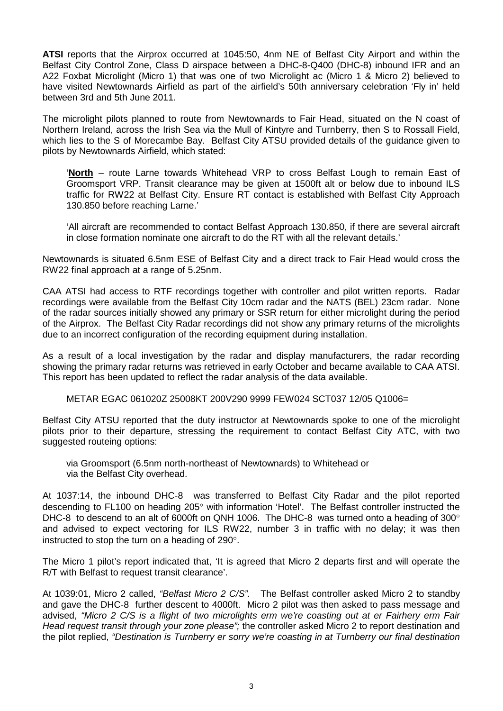**ATSI** reports that the Airprox occurred at 1045:50, 4nm NE of Belfast City Airport and within the Belfast City Control Zone, Class D airspace between a DHC-8-Q400 (DHC-8) inbound IFR and an A22 Foxbat Microlight (Micro 1) that was one of two Microlight ac (Micro 1 & Micro 2) believed to have visited Newtownards Airfield as part of the airfield's 50th anniversary celebration 'Fly in' held between 3rd and 5th June 2011.

The microlight pilots planned to route from Newtownards to Fair Head, situated on the N coast of Northern Ireland, across the Irish Sea via the Mull of Kintyre and Turnberry, then S to Rossall Field, which lies to the S of Morecambe Bay. Belfast City ATSU provided details of the guidance given to pilots by Newtownards Airfield, which stated:

'**North** – route Larne towards Whitehead VRP to cross Belfast Lough to remain East of Groomsport VRP. Transit clearance may be given at 1500ft alt or below due to inbound ILS traffic for RW22 at Belfast City. Ensure RT contact is established with Belfast City Approach 130.850 before reaching Larne.'

'All aircraft are recommended to contact Belfast Approach 130.850, if there are several aircraft in close formation nominate one aircraft to do the RT with all the relevant details.'

Newtownards is situated 6.5nm ESE of Belfast City and a direct track to Fair Head would cross the RW22 final approach at a range of 5.25nm.

CAA ATSI had access to RTF recordings together with controller and pilot written reports. Radar recordings were available from the Belfast City 10cm radar and the NATS (BEL) 23cm radar. None of the radar sources initially showed any primary or SSR return for either microlight during the period of the Airprox. The Belfast City Radar recordings did not show any primary returns of the microlights due to an incorrect configuration of the recording equipment during installation.

As a result of a local investigation by the radar and display manufacturers, the radar recording showing the primary radar returns was retrieved in early October and became available to CAA ATSI. This report has been updated to reflect the radar analysis of the data available.

METAR EGAC 061020Z 25008KT 200V290 9999 FEW024 SCT037 12/05 Q1006=

Belfast City ATSU reported that the duty instructor at Newtownards spoke to one of the microlight pilots prior to their departure, stressing the requirement to contact Belfast City ATC, with two suggested routeing options:

via Groomsport (6.5nm north-northeast of Newtownards) to Whitehead or via the Belfast City overhead.

At 1037:14, the inbound DHC-8 was transferred to Belfast City Radar and the pilot reported descending to FL100 on heading 205° with information 'Hotel'. The Belfast controller instructed the DHC-8 to descend to an alt of 6000ft on QNH 1006. The DHC-8 was turned onto a heading of 300° and advised to expect vectoring for ILS RW22, number 3 in traffic with no delay; it was then instructed to stop the turn on a heading of 290°.

The Micro 1 pilot's report indicated that, 'It is agreed that Micro 2 departs first and will operate the R/T with Belfast to request transit clearance'.

At 1039:01, Micro 2 called, *"Belfast Micro 2 C/S".* The Belfast controller asked Micro 2 to standby and gave the DHC-8 further descent to 4000ft. Micro 2 pilot was then asked to pass message and advised, *"Micro 2 C/S is a flight of two microlights erm we're coasting out at er Fairhery erm Fair Head request transit through your zone please";* the controller asked Micro 2 to report destination and the pilot replied, *"Destination is Turnberry er sorry we're coasting in at Turnberry our final destination*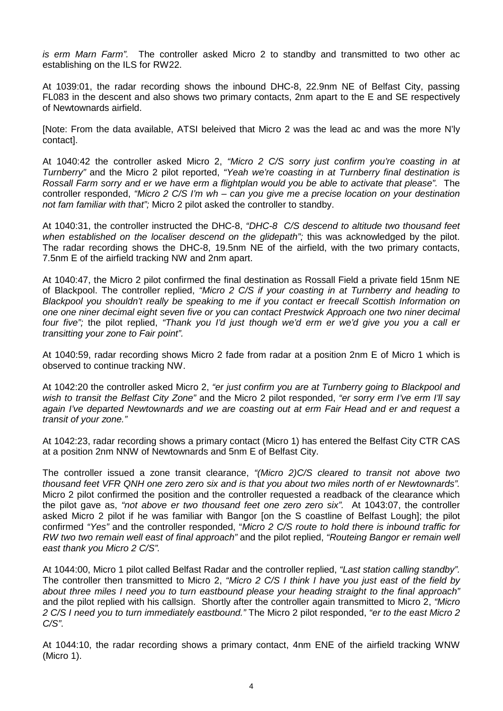*is erm Marn Farm".* The controller asked Micro 2 to standby and transmitted to two other ac establishing on the ILS for RW22.

At 1039:01, the radar recording shows the inbound DHC-8, 22.9nm NE of Belfast City, passing FL083 in the descent and also shows two primary contacts, 2nm apart to the E and SE respectively of Newtownards airfield.

[Note: From the data available, ATSI beleived that Micro 2 was the lead ac and was the more N'ly contact].

At 1040:42 the controller asked Micro 2, *"Micro 2 C/S sorry just confirm you're coasting in at Turnberry"* and the Micro 2 pilot reported, *"Yeah we're coasting in at Turnberry final destination is Rossall Farm sorry and er we have erm a flightplan would you be able to activate that please".* The controller responded, *"Micro 2 C/S I'm wh – can you give me a precise location on your destination not fam familiar with that";* Micro 2 pilot asked the controller to standby.

At 1040:31, the controller instructed the DHC-8, *"DHC-8 C/S descend to altitude two thousand feet*  when established on the localiser descend on the glidepath"; this was acknowledged by the pilot. The radar recording shows the DHC-8, 19.5nm NE of the airfield, with the two primary contacts, 7.5nm E of the airfield tracking NW and 2nm apart.

At 1040:47, the Micro 2 pilot confirmed the final destination as Rossall Field a private field 15nm NE of Blackpool. The controller replied, *"Micro 2 C/S if your coasting in at Turnberry and heading to Blackpool you shouldn't really be speaking to me if you contact er freecall Scottish Information on one one niner decimal eight seven five or you can contact Prestwick Approach one two niner decimal four five";* the pilot replied, *"Thank you I'd just though we'd erm er we'd give you you a call er transitting your zone to Fair point".*

At 1040:59, radar recording shows Micro 2 fade from radar at a position 2nm E of Micro 1 which is observed to continue tracking NW.

At 1042:20 the controller asked Micro 2, *"er just confirm you are at Turnberry going to Blackpool and wish to transit the Belfast City Zone"* and the Micro 2 pilot responded, *"er sorry erm I've erm I'll say again I've departed Newtownards and we are coasting out at erm Fair Head and er and request a transit of your zone."*

At 1042:23, radar recording shows a primary contact (Micro 1) has entered the Belfast City CTR CAS at a position 2nm NNW of Newtownards and 5nm E of Belfast City.

The controller issued a zone transit clearance, *"(Micro 2)C/S cleared to transit not above two thousand feet VFR QNH one zero zero six and is that you about two miles north of er Newtownards".* Micro 2 pilot confirmed the position and the controller requested a readback of the clearance which the pilot gave as, *"not above er two thousand feet one zero zero six".* At 1043:07, the controller asked Micro 2 pilot if he was familiar with Bangor [on the S coastline of Belfast Lough]; the pilot confirmed *"Yes"* and the controller responded, "*Micro 2 C/S route to hold there is inbound traffic for RW two two remain well east of final approach"* and the pilot replied, *"Routeing Bangor er remain well east thank you Micro 2 C/S".*

At 1044:00, Micro 1 pilot called Belfast Radar and the controller replied, *"Last station calling standby".* The controller then transmitted to Micro 2, *"Micro 2 C/S I think I have you just east of the field by about three miles I need you to turn eastbound please your heading straight to the final approach"* and the pilot replied with his callsign. Shortly after the controller again transmitted to Micro 2, *"Micro 2 C/S I need you to turn immediately eastbound."* The Micro 2 pilot responded, *"er to the east Micro 2 C/S"*.

At 1044:10, the radar recording shows a primary contact, 4nm ENE of the airfield tracking WNW (Micro 1).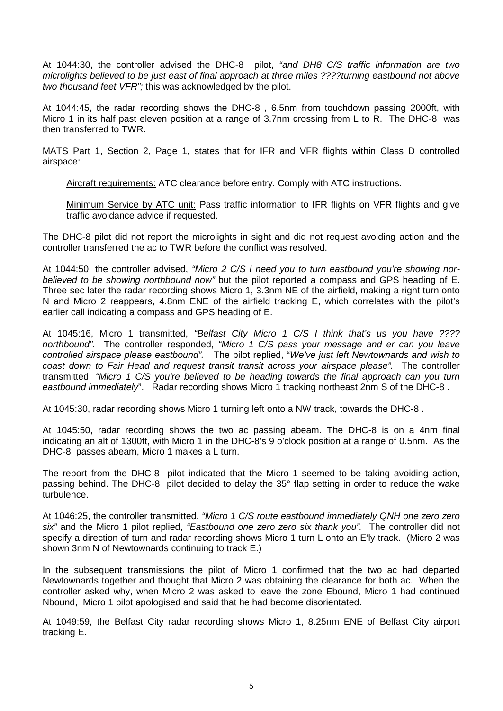At 1044:30, the controller advised the DHC-8 pilot, *"and DH8 C/S traffic information are two microlights believed to be just east of final approach at three miles ????turning eastbound not above two thousand feet VFR";* this was acknowledged by the pilot.

At 1044:45, the radar recording shows the DHC-8 , 6.5nm from touchdown passing 2000ft, with Micro 1 in its half past eleven position at a range of 3.7nm crossing from L to R. The DHC-8 was then transferred to TWR.

MATS Part 1, Section 2, Page 1, states that for IFR and VFR flights within Class D controlled airspace:

Aircraft requirements: ATC clearance before entry. Comply with ATC instructions.

Minimum Service by ATC unit: Pass traffic information to IFR flights on VFR flights and give traffic avoidance advice if requested.

The DHC-8 pilot did not report the microlights in sight and did not request avoiding action and the controller transferred the ac to TWR before the conflict was resolved.

At 1044:50, the controller advised, *"Micro 2 C/S I need you to turn eastbound you're showing norbelieved to be showing northbound now"* but the pilot reported a compass and GPS heading of E. Three sec later the radar recording shows Micro 1, 3.3nm NE of the airfield, making a right turn onto N and Micro 2 reappears, 4.8nm ENE of the airfield tracking E, which correlates with the pilot's earlier call indicating a compass and GPS heading of E.

At 1045:16, Micro 1 transmitted, *"Belfast City Micro 1 C/S I think that's us you have ???? northbound".* The controller responded, *"Micro 1 C/S pass your message and er can you leave controlled airspace please eastbound".* The pilot replied, "*We've just left Newtownards and wish to coast down to Fair Head and request transit transit across your airspace please".* The controller transmitted, *"Micro 1 C/S you're believed to be heading towards the final approach can you turn eastbound immediately*". Radar recording shows Micro 1 tracking northeast 2nm S of the DHC-8 .

At 1045:30, radar recording shows Micro 1 turning left onto a NW track, towards the DHC-8 .

At 1045:50, radar recording shows the two ac passing abeam. The DHC-8 is on a 4nm final indicating an alt of 1300ft, with Micro 1 in the DHC-8's 9 o'clock position at a range of 0.5nm. As the DHC-8 passes abeam, Micro 1 makes a L turn.

The report from the DHC-8 pilot indicated that the Micro 1 seemed to be taking avoiding action, passing behind. The DHC-8 pilot decided to delay the 35° flap setting in order to reduce the wake turbulence.

At 1046:25, the controller transmitted, *"Micro 1 C/S route eastbound immediately QNH one zero zero six"* and the Micro 1 pilot replied, *"Eastbound one zero zero six thank you".* The controller did not specify a direction of turn and radar recording shows Micro 1 turn L onto an E'ly track. (Micro 2 was shown 3nm N of Newtownards continuing to track E.)

In the subsequent transmissions the pilot of Micro 1 confirmed that the two ac had departed Newtownards together and thought that Micro 2 was obtaining the clearance for both ac. When the controller asked why, when Micro 2 was asked to leave the zone Ebound, Micro 1 had continued Nbound, Micro 1 pilot apologised and said that he had become disorientated.

At 1049:59, the Belfast City radar recording shows Micro 1, 8.25nm ENE of Belfast City airport tracking E.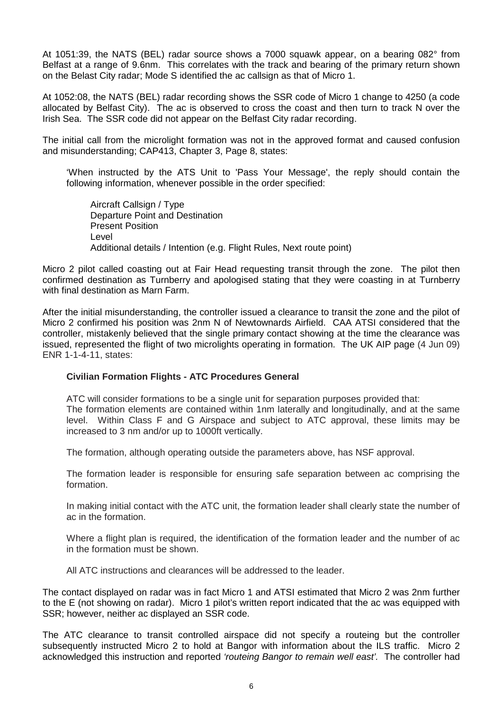At 1051:39, the NATS (BEL) radar source shows a 7000 squawk appear, on a bearing 082° from Belfast at a range of 9.6nm. This correlates with the track and bearing of the primary return shown on the Belast City radar; Mode S identified the ac callsign as that of Micro 1.

At 1052:08, the NATS (BEL) radar recording shows the SSR code of Micro 1 change to 4250 (a code allocated by Belfast City). The ac is observed to cross the coast and then turn to track N over the Irish Sea. The SSR code did not appear on the Belfast City radar recording.

The initial call from the microlight formation was not in the approved format and caused confusion and misunderstanding; CAP413, Chapter 3, Page 8, states:

'When instructed by the ATS Unit to 'Pass Your Message', the reply should contain the following information, whenever possible in the order specified:

Aircraft Callsign / Type Departure Point and Destination Present Position Level Additional details / Intention (e.g. Flight Rules, Next route point)

Micro 2 pilot called coasting out at Fair Head requesting transit through the zone. The pilot then confirmed destination as Turnberry and apologised stating that they were coasting in at Turnberry with final destination as Marn Farm.

After the initial misunderstanding, the controller issued a clearance to transit the zone and the pilot of Micro 2 confirmed his position was 2nm N of Newtownards Airfield. CAA ATSI considered that the controller, mistakenly believed that the single primary contact showing at the time the clearance was issued, represented the flight of two microlights operating in formation. The UK AIP page (4 Jun 09) ENR 1-1-4-11, states:

### **Civilian Formation Flights - ATC Procedures General**

ATC will consider formations to be a single unit for separation purposes provided that: The formation elements are contained within 1nm laterally and longitudinally, and at the same level. Within Class F and G Airspace and subject to ATC approval, these limits may be increased to 3 nm and/or up to 1000ft vertically.

The formation, although operating outside the parameters above, has NSF approval.

The formation leader is responsible for ensuring safe separation between ac comprising the formation.

In making initial contact with the ATC unit, the formation leader shall clearly state the number of ac in the formation.

Where a flight plan is required, the identification of the formation leader and the number of ac in the formation must be shown.

All ATC instructions and clearances will be addressed to the leader.

The contact displayed on radar was in fact Micro 1 and ATSI estimated that Micro 2 was 2nm further to the E (not showing on radar). Micro 1 pilot's written report indicated that the ac was equipped with SSR; however, neither ac displayed an SSR code.

The ATC clearance to transit controlled airspace did not specify a routeing but the controller subsequently instructed Micro 2 to hold at Bangor with information about the ILS traffic. Micro 2 acknowledged this instruction and reported *'routeing Bangor to remain well east'.* The controller had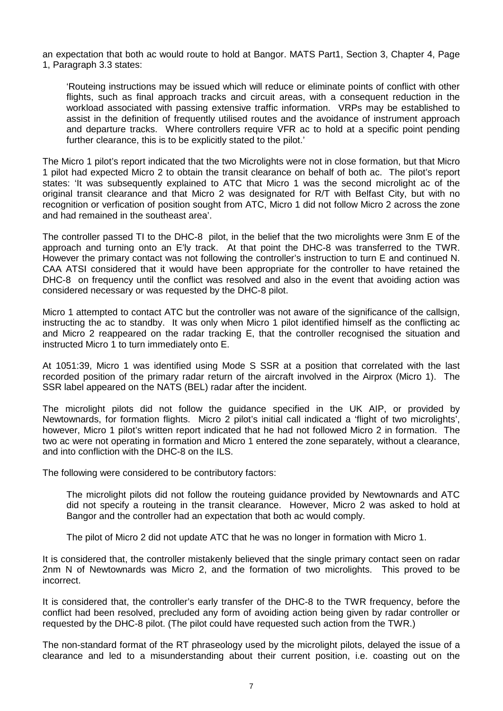an expectation that both ac would route to hold at Bangor. MATS Part1, Section 3, Chapter 4, Page 1, Paragraph 3.3 states:

'Routeing instructions may be issued which will reduce or eliminate points of conflict with other flights, such as final approach tracks and circuit areas, with a consequent reduction in the workload associated with passing extensive traffic information. VRPs may be established to assist in the definition of frequently utilised routes and the avoidance of instrument approach and departure tracks. Where controllers require VFR ac to hold at a specific point pending further clearance, this is to be explicitly stated to the pilot.'

The Micro 1 pilot's report indicated that the two Microlights were not in close formation, but that Micro 1 pilot had expected Micro 2 to obtain the transit clearance on behalf of both ac. The pilot's report states: 'It was subsequently explained to ATC that Micro 1 was the second microlight ac of the original transit clearance and that Micro 2 was designated for R/T with Belfast City, but with no recognition or verfication of position sought from ATC, Micro 1 did not follow Micro 2 across the zone and had remained in the southeast area'.

The controller passed TI to the DHC-8 pilot, in the belief that the two microlights were 3nm E of the approach and turning onto an E'ly track. At that point the DHC-8 was transferred to the TWR. However the primary contact was not following the controller's instruction to turn E and continued N. CAA ATSI considered that it would have been appropriate for the controller to have retained the DHC-8 on frequency until the conflict was resolved and also in the event that avoiding action was considered necessary or was requested by the DHC-8 pilot.

Micro 1 attempted to contact ATC but the controller was not aware of the significance of the callsign, instructing the ac to standby. It was only when Micro 1 pilot identified himself as the conflicting ac and Micro 2 reappeared on the radar tracking E, that the controller recognised the situation and instructed Micro 1 to turn immediately onto E.

At 1051:39, Micro 1 was identified using Mode S SSR at a position that correlated with the last recorded position of the primary radar return of the aircraft involved in the Airprox (Micro 1). The SSR label appeared on the NATS (BEL) radar after the incident.

The microlight pilots did not follow the guidance specified in the UK AIP, or provided by Newtownards, for formation flights. Micro 2 pilot's initial call indicated a 'flight of two microlights', however, Micro 1 pilot's written report indicated that he had not followed Micro 2 in formation. The two ac were not operating in formation and Micro 1 entered the zone separately, without a clearance, and into confliction with the DHC-8 on the ILS.

The following were considered to be contributory factors:

The microlight pilots did not follow the routeing guidance provided by Newtownards and ATC did not specify a routeing in the transit clearance. However, Micro 2 was asked to hold at Bangor and the controller had an expectation that both ac would comply.

The pilot of Micro 2 did not update ATC that he was no longer in formation with Micro 1.

It is considered that, the controller mistakenly believed that the single primary contact seen on radar 2nm N of Newtownards was Micro 2, and the formation of two microlights. This proved to be incorrect.

It is considered that, the controller's early transfer of the DHC-8 to the TWR frequency, before the conflict had been resolved, precluded any form of avoiding action being given by radar controller or requested by the DHC-8 pilot. (The pilot could have requested such action from the TWR.)

The non-standard format of the RT phraseology used by the microlight pilots, delayed the issue of a clearance and led to a misunderstanding about their current position, i.e. coasting out on the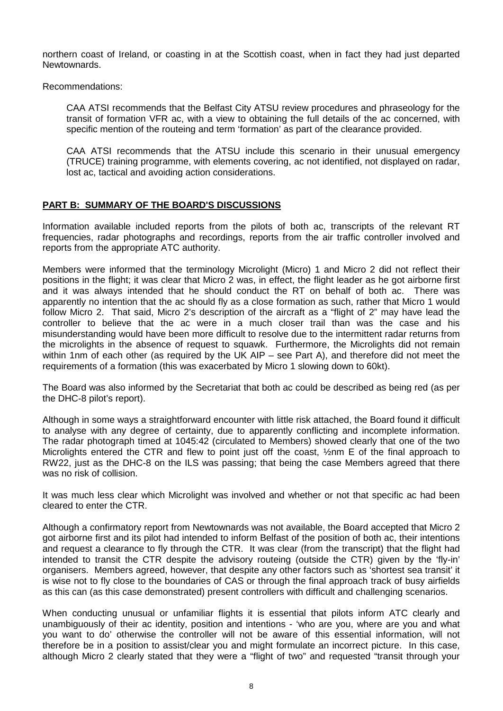northern coast of Ireland, or coasting in at the Scottish coast, when in fact they had just departed Newtownards.

Recommendations:

CAA ATSI recommends that the Belfast City ATSU review procedures and phraseology for the transit of formation VFR ac, with a view to obtaining the full details of the ac concerned, with specific mention of the routeing and term 'formation' as part of the clearance provided.

CAA ATSI recommends that the ATSU include this scenario in their unusual emergency (TRUCE) training programme, with elements covering, ac not identified, not displayed on radar, lost ac, tactical and avoiding action considerations.

# **PART B: SUMMARY OF THE BOARD'S DISCUSSIONS**

Information available included reports from the pilots of both ac, transcripts of the relevant RT frequencies, radar photographs and recordings, reports from the air traffic controller involved and reports from the appropriate ATC authority.

Members were informed that the terminology Microlight (Micro) 1 and Micro 2 did not reflect their positions in the flight; it was clear that Micro 2 was, in effect, the flight leader as he got airborne first and it was always intended that he should conduct the RT on behalf of both ac. There was apparently no intention that the ac should fly as a close formation as such, rather that Micro 1 would follow Micro 2. That said, Micro 2's description of the aircraft as a "flight of 2" may have lead the controller to believe that the ac were in a much closer trail than was the case and his misunderstanding would have been more difficult to resolve due to the intermittent radar returns from the microlights in the absence of request to squawk. Furthermore, the Microlights did not remain within 1nm of each other (as required by the UK AIP – see Part A), and therefore did not meet the requirements of a formation (this was exacerbated by Micro 1 slowing down to 60kt).

The Board was also informed by the Secretariat that both ac could be described as being red (as per the DHC-8 pilot's report).

Although in some ways a straightforward encounter with little risk attached, the Board found it difficult to analyse with any degree of certainty, due to apparently conflicting and incomplete information. The radar photograph timed at 1045:42 (circulated to Members) showed clearly that one of the two Microlights entered the CTR and flew to point just off the coast, ½nm E of the final approach to RW22, just as the DHC-8 on the ILS was passing; that being the case Members agreed that there was no risk of collision.

It was much less clear which Microlight was involved and whether or not that specific ac had been cleared to enter the CTR.

Although a confirmatory report from Newtownards was not available, the Board accepted that Micro 2 got airborne first and its pilot had intended to inform Belfast of the position of both ac, their intentions and request a clearance to fly through the CTR. It was clear (from the transcript) that the flight had intended to transit the CTR despite the advisory routeing (outside the CTR) given by the 'fly-in' organisers. Members agreed, however, that despite any other factors such as 'shortest sea transit' it is wise not to fly close to the boundaries of CAS or through the final approach track of busy airfields as this can (as this case demonstrated) present controllers with difficult and challenging scenarios.

When conducting unusual or unfamiliar flights it is essential that pilots inform ATC clearly and unambiguously of their ac identity, position and intentions - 'who are you, where are you and what you want to do' otherwise the controller will not be aware of this essential information, will not therefore be in a position to assist/clear you and might formulate an incorrect picture. In this case, although Micro 2 clearly stated that they were a "flight of two" and requested "transit through your